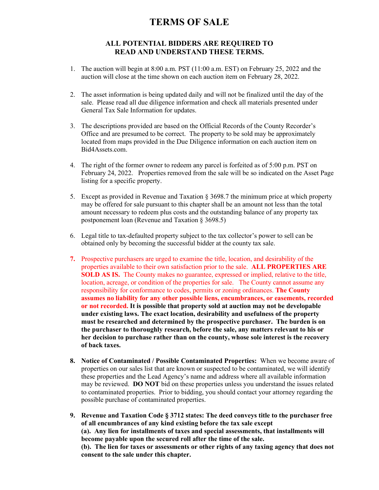# **TERMS OF SALE**

## **ALL POTENTIAL BIDDERS ARE REQUIRED TO READ AND UNDERSTAND THESE TERMS.**

- 1. The auction will begin at 8:00 a.m. PST (11:00 a.m. EST) on February 25, 2022 and the auction will close at the time shown on each auction item on February 28, 2022.
- 2. The asset information is being updated daily and will not be finalized until the day of the sale. Please read all due diligence information and check all materials presented under General Tax Sale Information for updates.
- 3. The descriptions provided are based on the Official Records of the County Recorder's Office and are presumed to be correct. The property to be sold may be approximately located from maps provided in the Due Diligence information on each auction item on Bid4Assets.com.
- 4. The right of the former owner to redeem any parcel is forfeited as of 5:00 p.m. PST on February 24, 2022. Properties removed from the sale will be so indicated on the Asset Page listing for a specific property.
- 5. Except as provided in Revenue and Taxation § 3698.7 the minimum price at which property may be offered for sale pursuant to this chapter shall be an amount not less than the total amount necessary to redeem plus costs and the outstanding balance of any property tax postponement loan (Revenue and Taxation § 3698.5)
- 6. Legal title to tax-defaulted property subject to the tax collector's power to sell can be obtained only by becoming the successful bidder at the county tax sale.
- **7.** Prospective purchasers are urged to examine the title, location, and desirability of the properties available to their own satisfaction prior to the sale. **ALL PROPERTIES ARE SOLD AS IS.** The County makes no guarantee, expressed or implied, relative to the title, location, acreage, or condition of the properties for sale. The County cannot assume any responsibility for conformance to codes, permits or zoning ordinances. **The County assumes no liability for any other possible liens, encumbrances, or easements, recorded or not recorded. It is possible that property sold at auction may not be developable under existing laws. The exact location, desirability and usefulness of the property must be researched and determined by the prospective purchaser. The burden is on the purchaser to thoroughly research, before the sale, any matters relevant to his or her decision to purchase rather than on the county, whose sole interest is the recovery of back taxes.**
- **8. Notice of Contaminated / Possible Contaminated Properties:** When we become aware of properties on our sales list that are known or suspected to be contaminated, we will identify these properties and the Lead Agency's name and address where all available information may be reviewed. **DO NOT** bid on these properties unless you understand the issues related to contaminated properties. Prior to bidding, you should contact your attorney regarding the possible purchase of contaminated properties.
- **9. Revenue and Taxation Code § 3712 states: The deed conveys title to the purchaser free of all encumbrances of any kind existing before the tax sale except (a). Any lien for installments of taxes and special assessments, that installments will become payable upon the secured roll after the time of the sale. (b). The lien for taxes or assessments or other rights of any taxing agency that does not consent to the sale under this chapter.**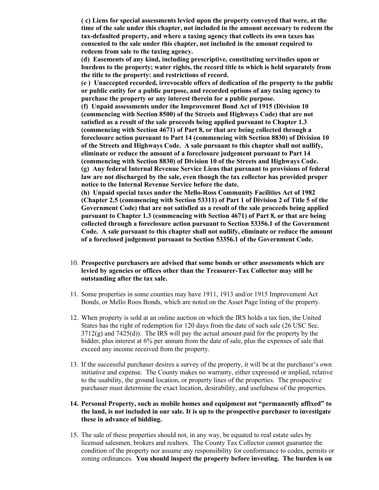**( c) Liens for special assessments levied upon the property conveyed that were, at the time of the sale under this chapter, not included in the amount necessary to redeem the tax-defaulted property, and where a taxing agency that collects its own taxes has consented to the sale under this chapter, not included in the amount required to redeem from sale to the taxing agency.**

**(d) Easements of any kind, including prescriptive, constituting servitudes upon or burdens to the property; water rights, the record title to which is held separately from the title to the property: and restrictions of record.**

**(e ) Unaccepted recorded, irrevocable offers of dedication of the property to the public or public entity for a public purpose, and recorded options of any taxing agency to purchase the property or any interest therein for a public purpose.**

**(f) Unpaid assessments under the Improvement Bond Act of 1915 (Division 10 (commencing with Section 8500) of the Streets and Highways Code) that are not satisfied as a result of the sale proceeds being applied pursuant to Chapter 1.3 (commencing with Section 4671) of Part 8, or that are being collected through a foreclosure action pursuant to Part 14 (commencing with Section 8830) of Division 10 of the Streets and Highways Code. A sale pursuant to this chapter shall not nullify, eliminate or reduce the amount of a foreclosure judgement pursuant to Part 14 (commencing with Section 8830) of Division 10 of the Streets and Highways Code. (g) Any federal Internal Revenue Service Liens that pursuant to provisions of federal law are not discharged by the sale, even though the tax collector has provided proper notice to the Internal Revenue Service before the date.**

**(h) Unpaid special taxes under the Mello-Ross Community Facilities Act of 1982 (Chapter 2.5 (commencing with Section 53311) of Part 1 of Division 2 of Title 5 of the Government Code) that are not satisfied as a result of the sale proceeds being applied pursuant to Chapter 1.3 (commencing with Section 4671) of Part 8, or that are being collected through a foreclosure action pursuant to Section 53356.1 of the Government Code. A sale pursuant to this chapter shall not nullify, eliminate or reduce the amount of a foreclosed judgement pursuant to Section 53356.1 of the Government Code.**

- 10. **Prospective purchasers are advised that some bonds or other assessments which are levied by agencies or offices other than the Treasurer-Tax Collector may still be outstanding after the tax sale.**
- 11. Some properties in some counties may have 1911, 1913 and/or 1915 Improvement Act Bonds, or Mello Roos Bonds, which are noted on the Asset Page listing of the property.
- 12. When property is sold at an online auction on which the IRS holds a tax lien, the United States has the right of redemption for 120 days from the date of such sale (26 USC Sec.  $3712(g)$  and  $7425(d)$ ). The IRS will pay the actual amount paid for the property by the bidder, plus interest at 6% per annum from the date of sale, plus the expenses of sale that exceed any income received from the property.
- 13. If the successful purchaser desires a survey of the property, it will be at the purchaser's own initiative and expense. The County makes no warranty, either expressed or implied, relative to the usability, the ground location, or property lines of the properties. The prospective purchaser must determine the exact location, desirability, and usefulness of the properties.

#### **14. Personal Property, such as mobile homes and equipment not "permanently affixed" to the land, is not included in our sale. It is up to the prospective purchaser to investigate these in advance of bidding.**

15. The sale of these properties should not, in any way, be equated to real estate sales by licensed salesmen, brokers and realtors. The County Tax Collector cannot guarantee the condition of the property nor assume any responsibility for conformance to codes, permits or zoning ordinances. **You should inspect the property before investing. The burden is on**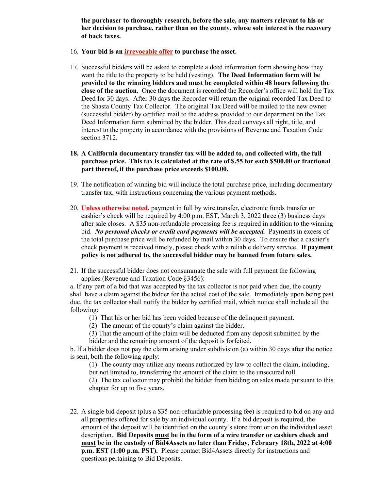**the purchaser to thoroughly research, before the sale, any matters relevant to his or her decision to purchase, rather than on the county, whose sole interest is the recovery of back taxes.**

- 16. **Your bid is an irrevocable offer to purchase the asset.**
- 17. Successful bidders will be asked to complete a deed information form showing how they want the title to the property to be held (vesting). **The Deed Information form will be provided to the winning bidders and must be completed within 48 hours following the close of the auction.** Once the document is recorded the Recorder's office will hold the Tax Deed for 30 days. After 30 days the Recorder will return the original recorded Tax Deed to the Shasta County Tax Collector. The original Tax Deed will be mailed to the new owner (successful bidder) by certified mail to the address provided to our department on the Tax Deed Information form submitted by the bidder. This deed conveys all right, title, and interest to the property in accordance with the provisions of Revenue and Taxation Code section 3712.
- **18. A California documentary transfer tax will be added to, and collected with, the full purchase price. This tax is calculated at the rate of \$.55 for each \$500.00 or fractional part thereof, if the purchase price exceeds \$100.00.**
- 19. The notification of winning bid will include the total purchase price, including documentary transfer tax, with instructions concerning the various payment methods.
- 20. **Unless otherwise noted**, payment in full by wire transfer, electronic funds transfer or cashier's check will be required by 4:00 p.m. EST, March 3, 2022 three (3) business days after sale closes. A \$35 non-refundable processing fee is required in addition to the winning bid. *No personal checks or credit card payments will be accepted.* Payments in excess of the total purchase price will be refunded by mail within 30 days. To ensure that a cashier's check payment is received timely, please check with a reliable delivery service. **If payment policy is not adhered to, the successful bidder may be banned from future sales.**
- 21. If the successful bidder does not consummate the sale with full payment the following applies (Revenue and Taxation Code §3456):

a. If any part of a bid that was accepted by the tax collector is not paid when due, the county shall have a claim against the bidder for the actual cost of the sale. Immediately upon being past due, the tax collector shall notify the bidder by certified mail, which notice shall include all the following:

- (1) That his or her bid has been voided because of the delinquent payment.
- (2) The amount of the county's claim against the bidder.
- (3) That the amount of the claim will be deducted from any deposit submitted by the bidder and the remaining amount of the deposit is forfeited.

b. If a bidder does not pay the claim arising under subdivision (a) within 30 days after the notice is sent, both the following apply:

(1) The county may utilize any means authorized by law to collect the claim, including, but not limited to, transferring the amount of the claim to the unsecured roll.

(2) The tax collector may prohibit the bidder from bidding on sales made pursuant to this chapter for up to five years.

22. A single bid deposit (plus a \$35 non-refundable processing fee) is required to bid on any and all properties offered for sale by an individual county. If a bid deposit is required, the amount of the deposit will be identified on the county's store front or on the individual asset description. **Bid Deposits must be in the form of a wire transfer or cashiers check and must be in the custody of Bid4Assets no later than Friday, February 18th, 2022 at 4:00 p.m. EST (1:00 p.m. PST).** Please contact Bid4Assets directly for instructions and questions pertaining to Bid Deposits.